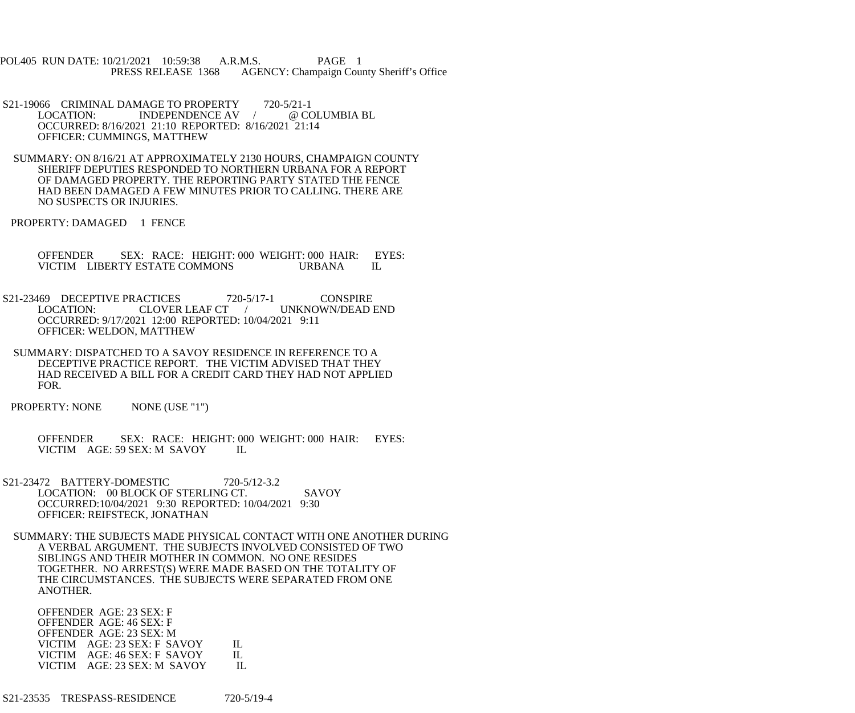POL405 RUN DATE: 10/21/2021 10:59:38 A.R.M.S. PAGE 1 PRESS RELEASE 1368 AGENCY: Champaign County Sheriff's Office

- S21-19066 CRIMINAL DAMAGE TO PROPERTY 720-5/21-1 LOCATION: INDEPENDENCE AV / @ COLUMBIA BL OCCURRED: 8/16/2021 21:10 REPORTED: 8/16/2021 21:14 OFFICER: CUMMINGS, MATTHEW
- SUMMARY: ON 8/16/21 AT APPROXIMATELY 2130 HOURS, CHAMPAIGN COUNTY SHERIFF DEPUTIES RESPONDED TO NORTHERN URBANA FOR A REPORT OF DAMAGED PROPERTY. THE REPORTING PARTY STATED THE FENCE HAD BEEN DAMAGED A FEW MINUTES PRIOR TO CALLING. THERE ARE NO SUSPECTS OR INJURIES.
- PROPERTY: DAMAGED 1 FENCE
	- OFFENDER SEX: RACE: HEIGHT: 000 WEIGHT: 000 HAIR: EYES:<br>VICTIM LIBERTY ESTATE COMMONS URBANA IL VICTIM LIBERTY ESTATE COMMONS URBANA
- S21-23469 DECEPTIVE PRACTICES 720-5/17-1 CONSPIRE LOCATION: CLOVER LEAF CT / UNKNOWN/DEAD END OCCURRED: 9/17/2021 12:00 REPORTED: 10/04/2021 9:11 OFFICER: WELDON, MATTHEW
- SUMMARY: DISPATCHED TO A SAVOY RESIDENCE IN REFERENCE TO A DECEPTIVE PRACTICE REPORT. THE VICTIM ADVISED THAT THEY HAD RECEIVED A BILL FOR A CREDIT CARD THEY HAD NOT APPLIED FOR.
- PROPERTY: NONE NONE (USE "1")

 OFFENDER SEX: RACE: HEIGHT: 000 WEIGHT: 000 HAIR: EYES: VICTIM AGE: 59 SEX: M SAVOY IL

- S21-23472 BATTERY-DOMESTIC 720-5/12-3.2 LOCATION: 00 BLOCK OF STERLING CT. SAVOY OCCURRED:10/04/2021 9:30 REPORTED: 10/04/2021 9:30 OFFICER: REIFSTECK, JONATHAN
	- SUMMARY: THE SUBJECTS MADE PHYSICAL CONTACT WITH ONE ANOTHER DURING A VERBAL ARGUMENT. THE SUBJECTS INVOLVED CONSISTED OF TWO SIBLINGS AND THEIR MOTHER IN COMMON. NO ONE RESIDES TOGETHER. NO ARREST(S) WERE MADE BASED ON THE TOTALITY OF THE CIRCUMSTANCES. THE SUBJECTS WERE SEPARATED FROM ONE ANOTHER.

 OFFENDER AGE: 23 SEX: F OFFENDER AGE: 46 SEX: F OFFENDER AGE: 23 SEX: M VICTIM AGE: 23 SEX: F SAVOY IL VICTIM AGE: 46 SEX: F SAVOY IL VICTIM AGE: 23 SEX: M SAVOY IL